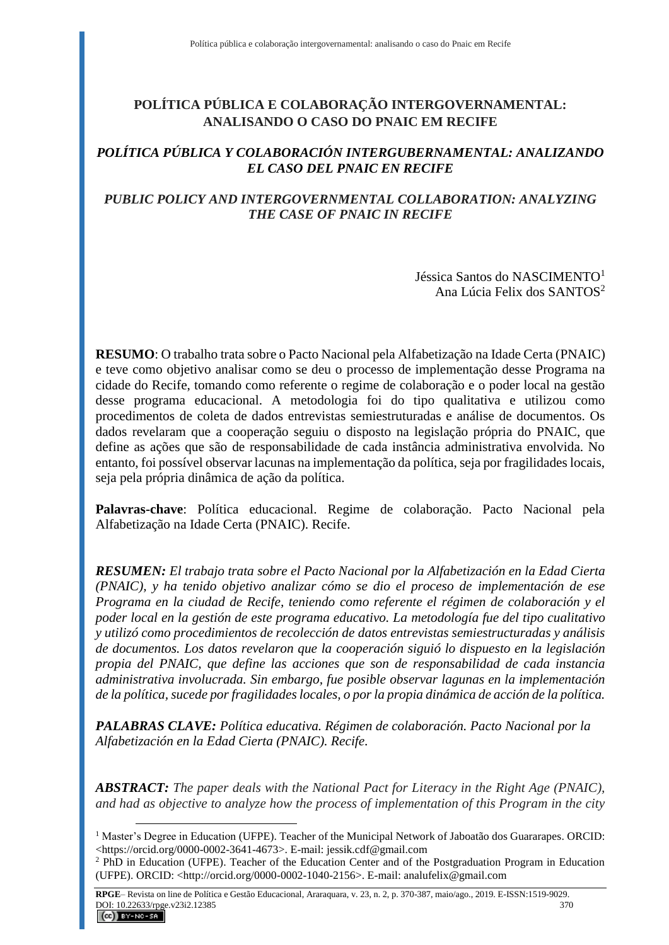# **POLÍTICA PÚBLICA E COLABORAÇÃO INTERGOVERNAMENTAL: ANALISANDO O CASO DO PNAIC EM RECIFE**

## *POLÍTICA PÚBLICA Y COLABORACIÓN INTERGUBERNAMENTAL: ANALIZANDO EL CASO DEL PNAIC EN RECIFE*

# *PUBLIC POLICY AND INTERGOVERNMENTAL COLLABORATION: ANALYZING THE CASE OF PNAIC IN RECIFE*

Jéssica Santos do NASCIMENTO<sup>1</sup> Ana Lúcia Felix dos SANTOS<sup>2</sup>

**RESUMO**: O trabalho trata sobre o Pacto Nacional pela Alfabetização na Idade Certa (PNAIC) e teve como objetivo analisar como se deu o processo de implementação desse Programa na cidade do Recife, tomando como referente o regime de colaboração e o poder local na gestão desse programa educacional. A metodologia foi do tipo qualitativa e utilizou como procedimentos de coleta de dados entrevistas semiestruturadas e análise de documentos. Os dados revelaram que a cooperação seguiu o disposto na legislação própria do PNAIC, que define as ações que são de responsabilidade de cada instância administrativa envolvida. No entanto, foi possível observar lacunas na implementação da política, seja por fragilidades locais, seja pela própria dinâmica de ação da política.

**Palavras-chave**: Política educacional. Regime de colaboração. Pacto Nacional pela Alfabetização na Idade Certa (PNAIC). Recife.

*RESUMEN: El trabajo trata sobre el Pacto Nacional por la Alfabetización en la Edad Cierta (PNAIC), y ha tenido objetivo analizar cómo se dio el proceso de implementación de ese Programa en la ciudad de Recife, teniendo como referente el régimen de colaboración y el poder local en la gestión de este programa educativo. La metodología fue del tipo cualitativo y utilizó como procedimientos de recolección de datos entrevistas semiestructuradas y análisis de documentos. Los datos revelaron que la cooperación siguió lo dispuesto en la legislación propia del PNAIC, que define las acciones que son de responsabilidad de cada instancia administrativa involucrada. Sin embargo, fue posible observar lagunas en la implementación de la política, sucede por fragilidades locales, o por la propia dinámica de acción de la política.*

*PALABRAS CLAVE: Política educativa. Régimen de colaboración. Pacto Nacional por la Alfabetización en la Edad Cierta (PNAIC). Recife.*

*ABSTRACT: The paper deals with the National Pact for Literacy in the Right Age (PNAIC), and had as objective to analyze how the process of implementation of this Program in the city* 

<sup>&</sup>lt;sup>1</sup> Master's Degree in Education (UFPE). Teacher of the Municipal Network of Jaboatão dos Guararapes. ORCID: <https://orcid.org/0000-0002-3641-4673>. E-mail: jessik.cdf@gmail.com

<sup>2</sup> PhD in Education (UFPE). Teacher of the Education Center and of the Postgraduation Program in Education (UFPE). ORCID: <http://orcid.org/0000-0002-1040-2156>. E-mail: analufelix@gmail.com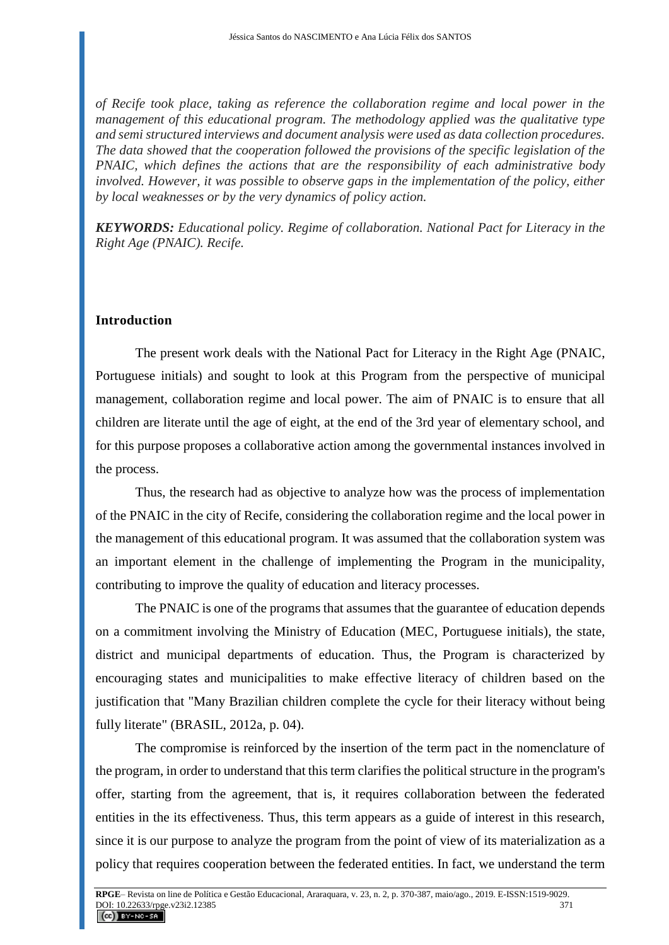*of Recife took place, taking as reference the collaboration regime and local power in the management of this educational program. The methodology applied was the qualitative type and semi structured interviews and document analysis were used as data collection procedures. The data showed that the cooperation followed the provisions of the specific legislation of the PNAIC, which defines the actions that are the responsibility of each administrative body involved. However, it was possible to observe gaps in the implementation of the policy, either by local weaknesses or by the very dynamics of policy action.*

*KEYWORDS: Educational policy. Regime of collaboration. National Pact for Literacy in the Right Age (PNAIC). Recife.*

#### **Introduction**

The present work deals with the National Pact for Literacy in the Right Age (PNAIC, Portuguese initials) and sought to look at this Program from the perspective of municipal management, collaboration regime and local power. The aim of PNAIC is to ensure that all children are literate until the age of eight, at the end of the 3rd year of elementary school, and for this purpose proposes a collaborative action among the governmental instances involved in the process.

Thus, the research had as objective to analyze how was the process of implementation of the PNAIC in the city of Recife, considering the collaboration regime and the local power in the management of this educational program. It was assumed that the collaboration system was an important element in the challenge of implementing the Program in the municipality, contributing to improve the quality of education and literacy processes.

The PNAIC is one of the programs that assumes that the guarantee of education depends on a commitment involving the Ministry of Education (MEC, Portuguese initials), the state, district and municipal departments of education. Thus, the Program is characterized by encouraging states and municipalities to make effective literacy of children based on the justification that "Many Brazilian children complete the cycle for their literacy without being fully literate" (BRASIL, 2012a, p. 04).

The compromise is reinforced by the insertion of the term pact in the nomenclature of the program, in order to understand that this term clarifies the political structure in the program's offer, starting from the agreement, that is, it requires collaboration between the federated entities in the its effectiveness. Thus, this term appears as a guide of interest in this research, since it is our purpose to analyze the program from the point of view of its materialization as a policy that requires cooperation between the federated entities. In fact, we understand the term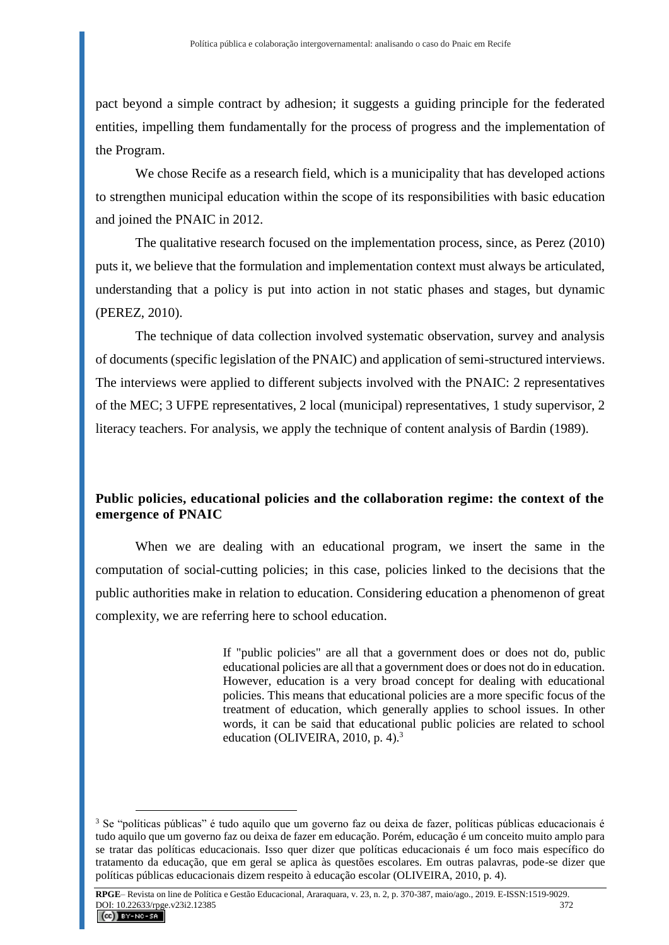pact beyond a simple contract by adhesion; it suggests a guiding principle for the federated entities, impelling them fundamentally for the process of progress and the implementation of the Program.

We chose Recife as a research field, which is a municipality that has developed actions to strengthen municipal education within the scope of its responsibilities with basic education and joined the PNAIC in 2012.

The qualitative research focused on the implementation process, since, as Perez (2010) puts it, we believe that the formulation and implementation context must always be articulated, understanding that a policy is put into action in not static phases and stages, but dynamic (PEREZ, 2010).

The technique of data collection involved systematic observation, survey and analysis of documents (specific legislation of the PNAIC) and application of semi-structured interviews. The interviews were applied to different subjects involved with the PNAIC: 2 representatives of the MEC; 3 UFPE representatives, 2 local (municipal) representatives, 1 study supervisor, 2 literacy teachers. For analysis, we apply the technique of content analysis of Bardin (1989).

### **Public policies, educational policies and the collaboration regime: the context of the emergence of PNAIC**

When we are dealing with an educational program, we insert the same in the computation of social-cutting policies; in this case, policies linked to the decisions that the public authorities make in relation to education. Considering education a phenomenon of great complexity, we are referring here to school education.

> If "public policies" are all that a government does or does not do, public educational policies are all that a government does or does not do in education. However, education is a very broad concept for dealing with educational policies. This means that educational policies are a more specific focus of the treatment of education, which generally applies to school issues. In other words, it can be said that educational public policies are related to school education (OLIVEIRA, 2010, p. 4). $3$

<sup>3</sup> Se "políticas públicas" é tudo aquilo que um governo faz ou deixa de fazer, políticas públicas educacionais é tudo aquilo que um governo faz ou deixa de fazer em educação. Porém, educação é um conceito muito amplo para se tratar das políticas educacionais. Isso quer dizer que políticas educacionais é um foco mais específico do tratamento da educação, que em geral se aplica às questões escolares. Em outras palavras, pode-se dizer que políticas públicas educacionais dizem respeito à educação escolar (OLIVEIRA, 2010, p. 4).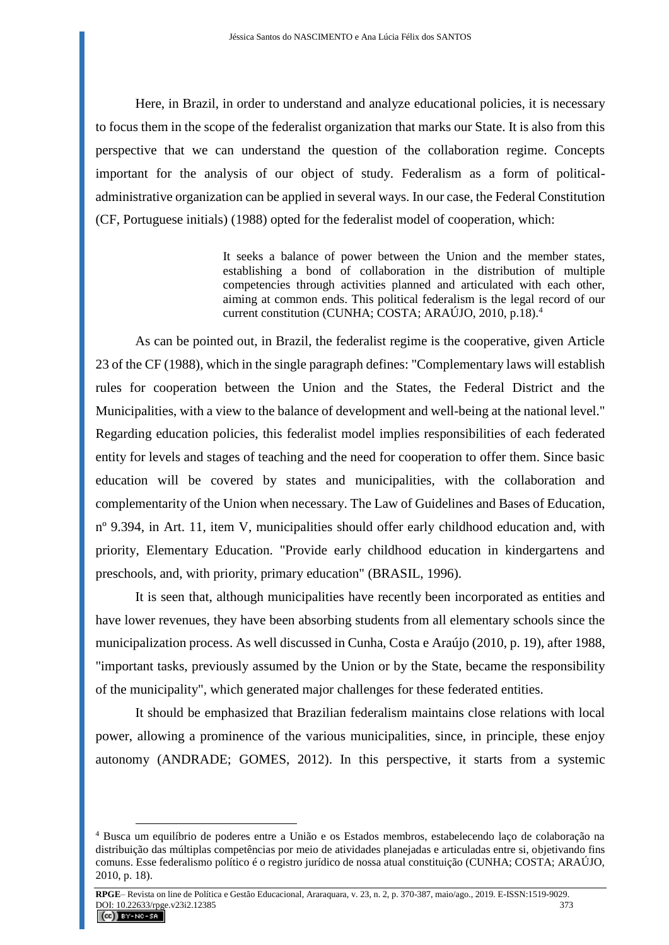Here, in Brazil, in order to understand and analyze educational policies, it is necessary to focus them in the scope of the federalist organization that marks our State. It is also from this perspective that we can understand the question of the collaboration regime. Concepts important for the analysis of our object of study. Federalism as a form of politicaladministrative organization can be applied in several ways. In our case, the Federal Constitution (CF, Portuguese initials) (1988) opted for the federalist model of cooperation, which:

> It seeks a balance of power between the Union and the member states, establishing a bond of collaboration in the distribution of multiple competencies through activities planned and articulated with each other, aiming at common ends. This political federalism is the legal record of our current constitution (CUNHA; COSTA; ARAÚJO, 2010, p.18).<sup>4</sup>

As can be pointed out, in Brazil, the federalist regime is the cooperative, given Article 23 of the CF (1988), which in the single paragraph defines: "Complementary laws will establish rules for cooperation between the Union and the States, the Federal District and the Municipalities, with a view to the balance of development and well-being at the national level." Regarding education policies, this federalist model implies responsibilities of each federated entity for levels and stages of teaching and the need for cooperation to offer them. Since basic education will be covered by states and municipalities, with the collaboration and complementarity of the Union when necessary. The Law of Guidelines and Bases of Education, nº 9.394, in Art. 11, item V, municipalities should offer early childhood education and, with priority, Elementary Education. "Provide early childhood education in kindergartens and preschools, and, with priority, primary education" (BRASIL, 1996).

It is seen that, although municipalities have recently been incorporated as entities and have lower revenues, they have been absorbing students from all elementary schools since the municipalization process. As well discussed in Cunha, Costa e Araújo (2010, p. 19), after 1988, "important tasks, previously assumed by the Union or by the State, became the responsibility of the municipality", which generated major challenges for these federated entities.

It should be emphasized that Brazilian federalism maintains close relations with local power, allowing a prominence of the various municipalities, since, in principle, these enjoy autonomy (ANDRADE; GOMES, 2012). In this perspective, it starts from a systemic

<sup>4</sup> Busca um equilíbrio de poderes entre a União e os Estados membros, estabelecendo laço de colaboração na distribuição das múltiplas competências por meio de atividades planejadas e articuladas entre si, objetivando fins comuns. Esse federalismo político é o registro jurídico de nossa atual constituição (CUNHA; COSTA; ARAÚJO, 2010, p. 18).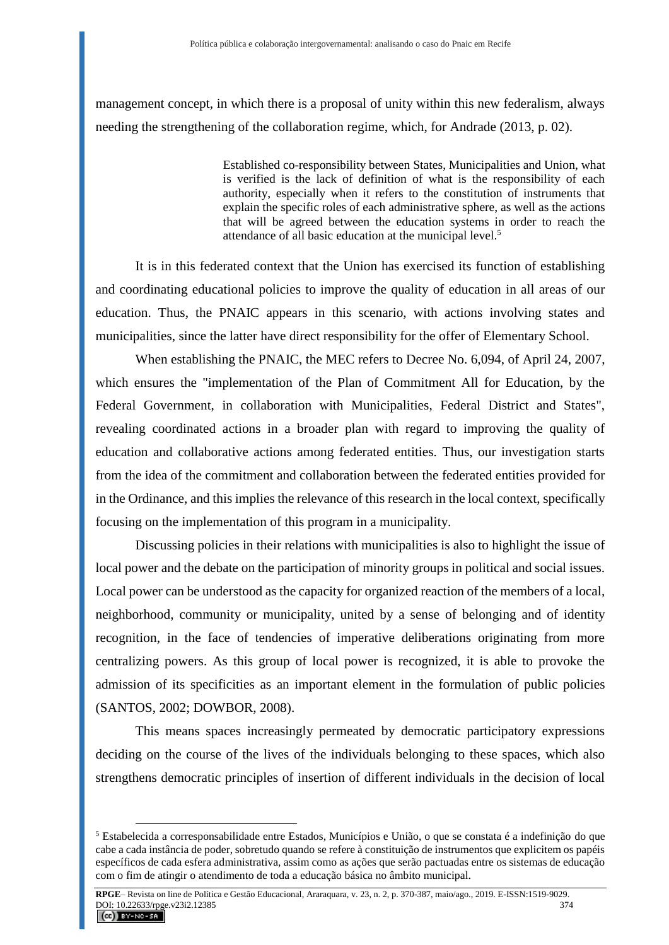management concept, in which there is a proposal of unity within this new federalism, always needing the strengthening of the collaboration regime, which, for Andrade (2013, p. 02).

> Established co-responsibility between States, Municipalities and Union, what is verified is the lack of definition of what is the responsibility of each authority, especially when it refers to the constitution of instruments that explain the specific roles of each administrative sphere, as well as the actions that will be agreed between the education systems in order to reach the attendance of all basic education at the municipal level.<sup>5</sup>

It is in this federated context that the Union has exercised its function of establishing and coordinating educational policies to improve the quality of education in all areas of our education. Thus, the PNAIC appears in this scenario, with actions involving states and municipalities, since the latter have direct responsibility for the offer of Elementary School.

When establishing the PNAIC, the MEC refers to Decree No. 6,094, of April 24, 2007, which ensures the "implementation of the Plan of Commitment All for Education, by the Federal Government, in collaboration with Municipalities, Federal District and States", revealing coordinated actions in a broader plan with regard to improving the quality of education and collaborative actions among federated entities. Thus, our investigation starts from the idea of the commitment and collaboration between the federated entities provided for in the Ordinance, and this implies the relevance of this research in the local context, specifically focusing on the implementation of this program in a municipality.

Discussing policies in their relations with municipalities is also to highlight the issue of local power and the debate on the participation of minority groups in political and social issues. Local power can be understood as the capacity for organized reaction of the members of a local, neighborhood, community or municipality, united by a sense of belonging and of identity recognition, in the face of tendencies of imperative deliberations originating from more centralizing powers. As this group of local power is recognized, it is able to provoke the admission of its specificities as an important element in the formulation of public policies (SANTOS, 2002; DOWBOR, 2008).

This means spaces increasingly permeated by democratic participatory expressions deciding on the course of the lives of the individuals belonging to these spaces, which also strengthens democratic principles of insertion of different individuals in the decision of local

<sup>5</sup> Estabelecida a corresponsabilidade entre Estados, Municípios e União, o que se constata é a indefinição do que cabe a cada instância de poder, sobretudo quando se refere à constituição de instrumentos que explicitem os papéis específicos de cada esfera administrativa, assim como as ações que serão pactuadas entre os sistemas de educação com o fim de atingir o atendimento de toda a educação básica no âmbito municipal.

**RPGE**– Revista on line de Política e Gestão Educacional, Araraquara, v. 23, n. 2, p. 370-387, maio/ago., 2019. E-ISSN:1519-9029. DOI: 10.22633/rpge.v23i2.12385 374  $(Cc)$  BY-NC-SA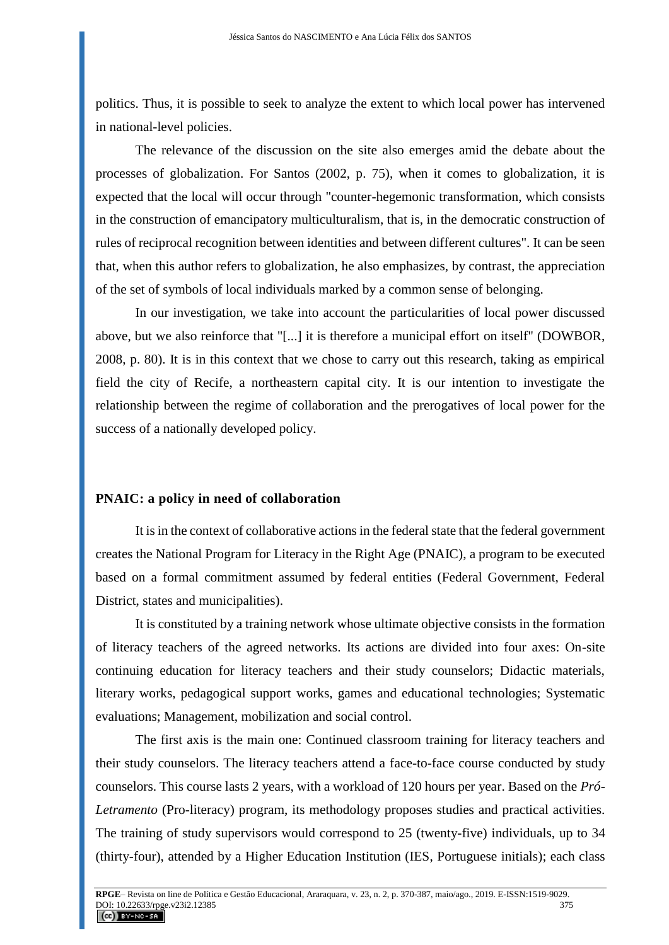politics. Thus, it is possible to seek to analyze the extent to which local power has intervened in national-level policies.

The relevance of the discussion on the site also emerges amid the debate about the processes of globalization. For Santos (2002, p. 75), when it comes to globalization, it is expected that the local will occur through "counter-hegemonic transformation, which consists in the construction of emancipatory multiculturalism, that is, in the democratic construction of rules of reciprocal recognition between identities and between different cultures". It can be seen that, when this author refers to globalization, he also emphasizes, by contrast, the appreciation of the set of symbols of local individuals marked by a common sense of belonging.

In our investigation, we take into account the particularities of local power discussed above, but we also reinforce that "[...] it is therefore a municipal effort on itself" (DOWBOR, 2008, p. 80). It is in this context that we chose to carry out this research, taking as empirical field the city of Recife, a northeastern capital city. It is our intention to investigate the relationship between the regime of collaboration and the prerogatives of local power for the success of a nationally developed policy.

### **PNAIC: a policy in need of collaboration**

It is in the context of collaborative actions in the federal state that the federal government creates the National Program for Literacy in the Right Age (PNAIC), a program to be executed based on a formal commitment assumed by federal entities (Federal Government, Federal District, states and municipalities).

It is constituted by a training network whose ultimate objective consists in the formation of literacy teachers of the agreed networks. Its actions are divided into four axes: On-site continuing education for literacy teachers and their study counselors; Didactic materials, literary works, pedagogical support works, games and educational technologies; Systematic evaluations; Management, mobilization and social control.

The first axis is the main one: Continued classroom training for literacy teachers and their study counselors. The literacy teachers attend a face-to-face course conducted by study counselors. This course lasts 2 years, with a workload of 120 hours per year. Based on the *Pró-Letramento* (Pro-literacy) program, its methodology proposes studies and practical activities. The training of study supervisors would correspond to 25 (twenty-five) individuals, up to 34 (thirty-four), attended by a Higher Education Institution (IES, Portuguese initials); each class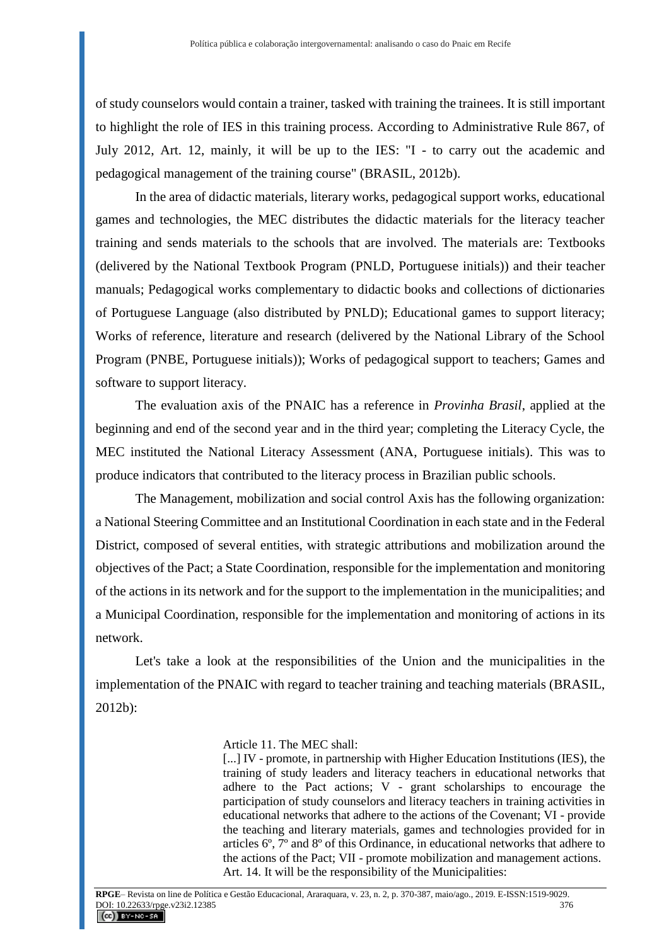of study counselors would contain a trainer, tasked with training the trainees. It is still important to highlight the role of IES in this training process. According to Administrative Rule 867, of July 2012, Art. 12, mainly, it will be up to the IES: "I - to carry out the academic and pedagogical management of the training course" (BRASIL, 2012b).

In the area of didactic materials, literary works, pedagogical support works, educational games and technologies, the MEC distributes the didactic materials for the literacy teacher training and sends materials to the schools that are involved. The materials are: Textbooks (delivered by the National Textbook Program (PNLD, Portuguese initials)) and their teacher manuals; Pedagogical works complementary to didactic books and collections of dictionaries of Portuguese Language (also distributed by PNLD); Educational games to support literacy; Works of reference, literature and research (delivered by the National Library of the School Program (PNBE, Portuguese initials)); Works of pedagogical support to teachers; Games and software to support literacy.

The evaluation axis of the PNAIC has a reference in *Provinha Brasil*, applied at the beginning and end of the second year and in the third year; completing the Literacy Cycle, the MEC instituted the National Literacy Assessment (ANA, Portuguese initials). This was to produce indicators that contributed to the literacy process in Brazilian public schools.

The Management, mobilization and social control Axis has the following organization: a National Steering Committee and an Institutional Coordination in each state and in the Federal District, composed of several entities, with strategic attributions and mobilization around the objectives of the Pact; a State Coordination, responsible for the implementation and monitoring of the actions in its network and for the support to the implementation in the municipalities; and a Municipal Coordination, responsible for the implementation and monitoring of actions in its network.

Let's take a look at the responsibilities of the Union and the municipalities in the implementation of the PNAIC with regard to teacher training and teaching materials (BRASIL, 2012b):

#### Article 11. The MEC shall:

[...] IV - promote, in partnership with Higher Education Institutions (IES), the training of study leaders and literacy teachers in educational networks that adhere to the Pact actions; V - grant scholarships to encourage the participation of study counselors and literacy teachers in training activities in educational networks that adhere to the actions of the Covenant; VI - provide the teaching and literary materials, games and technologies provided for in articles 6º, 7º and 8º of this Ordinance, in educational networks that adhere to the actions of the Pact; VII - promote mobilization and management actions. Art. 14. It will be the responsibility of the Municipalities: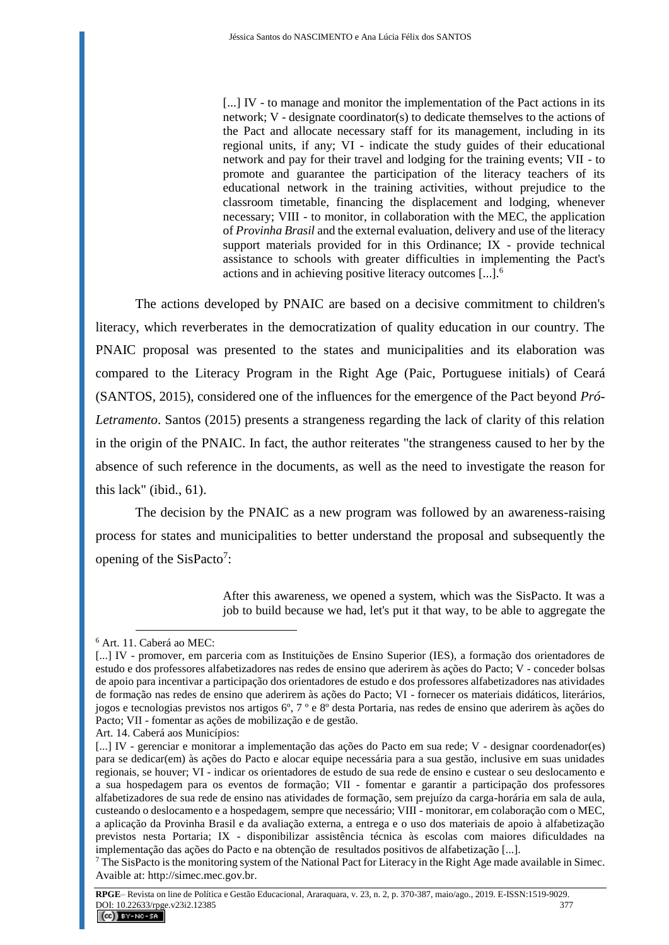[...] IV - to manage and monitor the implementation of the Pact actions in its network; V - designate coordinator(s) to dedicate themselves to the actions of the Pact and allocate necessary staff for its management, including in its regional units, if any; VI - indicate the study guides of their educational network and pay for their travel and lodging for the training events; VII - to promote and guarantee the participation of the literacy teachers of its educational network in the training activities, without prejudice to the classroom timetable, financing the displacement and lodging, whenever necessary; VIII - to monitor, in collaboration with the MEC, the application of *Provinha Brasil* and the external evaluation, delivery and use of the literacy support materials provided for in this Ordinance; IX - provide technical assistance to schools with greater difficulties in implementing the Pact's actions and in achieving positive literacy outcomes [...].<sup>6</sup>

The actions developed by PNAIC are based on a decisive commitment to children's literacy, which reverberates in the democratization of quality education in our country. The PNAIC proposal was presented to the states and municipalities and its elaboration was compared to the Literacy Program in the Right Age (Paic, Portuguese initials) of Ceará (SANTOS, 2015), considered one of the influences for the emergence of the Pact beyond *Pró-Letramento*. Santos (2015) presents a strangeness regarding the lack of clarity of this relation in the origin of the PNAIC. In fact, the author reiterates "the strangeness caused to her by the absence of such reference in the documents, as well as the need to investigate the reason for this lack" (ibid., 61).

The decision by the PNAIC as a new program was followed by an awareness-raising process for states and municipalities to better understand the proposal and subsequently the opening of the SisPacto<sup>7</sup>:

> After this awareness, we opened a system, which was the SisPacto. It was a job to build because we had, let's put it that way, to be able to aggregate the

<sup>6</sup> Art. 11. Caberá ao MEC:

<sup>[...]</sup> IV - promover, em parceria com as Instituições de Ensino Superior (IES), a formação dos orientadores de estudo e dos professores alfabetizadores nas redes de ensino que aderirem às ações do Pacto; V - conceder bolsas de apoio para incentivar a participação dos orientadores de estudo e dos professores alfabetizadores nas atividades de formação nas redes de ensino que aderirem às ações do Pacto; VI - fornecer os materiais didáticos, literários, jogos e tecnologias previstos nos artigos 6º, 7 º e 8º desta Portaria, nas redes de ensino que aderirem às ações do Pacto; VII - fomentar as ações de mobilização e de gestão.

Art. 14. Caberá aos Municípios:

<sup>[...]</sup> IV - gerenciar e monitorar a implementação das ações do Pacto em sua rede; V - designar coordenador(es) para se dedicar(em) às ações do Pacto e alocar equipe necessária para a sua gestão, inclusive em suas unidades regionais, se houver; VI - indicar os orientadores de estudo de sua rede de ensino e custear o seu deslocamento e a sua hospedagem para os eventos de formação; VII - fomentar e garantir a participação dos professores alfabetizadores de sua rede de ensino nas atividades de formação, sem prejuízo da carga-horária em sala de aula, custeando o deslocamento e a hospedagem, sempre que necessário; VIII - monitorar, em colaboração com o MEC, a aplicação da Provinha Brasil e da avaliação externa, a entrega e o uso dos materiais de apoio à alfabetização previstos nesta Portaria; IX - disponibilizar assistência técnica às escolas com maiores dificuldades na implementação das ações do Pacto e na obtenção de resultados positivos de alfabetização [...].

 $7$  The SisPacto is the monitoring system of the National Pact for Literacy in the Right Age made available in Simec. Avaible at: http://simec.mec.gov.br.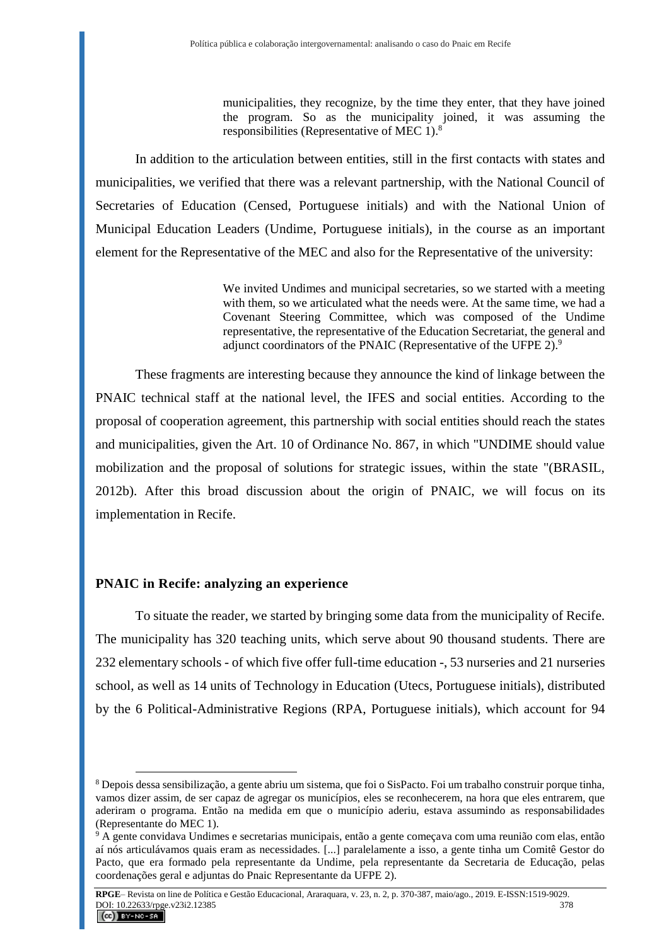municipalities, they recognize, by the time they enter, that they have joined the program. So as the municipality joined, it was assuming the responsibilities (Representative of MEC 1).<sup>8</sup>

In addition to the articulation between entities, still in the first contacts with states and municipalities, we verified that there was a relevant partnership, with the National Council of Secretaries of Education (Censed, Portuguese initials) and with the National Union of Municipal Education Leaders (Undime, Portuguese initials), in the course as an important element for the Representative of the MEC and also for the Representative of the university:

> We invited Undimes and municipal secretaries, so we started with a meeting with them, so we articulated what the needs were. At the same time, we had a Covenant Steering Committee, which was composed of the Undime representative, the representative of the Education Secretariat, the general and adjunct coordinators of the PNAIC (Representative of the UFPE 2).<sup>9</sup>

These fragments are interesting because they announce the kind of linkage between the PNAIC technical staff at the national level, the IFES and social entities. According to the proposal of cooperation agreement, this partnership with social entities should reach the states and municipalities, given the Art. 10 of Ordinance No. 867, in which "UNDIME should value mobilization and the proposal of solutions for strategic issues, within the state "(BRASIL, 2012b). After this broad discussion about the origin of PNAIC, we will focus on its implementation in Recife.

# **PNAIC in Recife: analyzing an experience**

 $\overline{a}$ 

To situate the reader, we started by bringing some data from the municipality of Recife. The municipality has 320 teaching units, which serve about 90 thousand students. There are 232 elementary schools - of which five offer full-time education -, 53 nurseries and 21 nurseries school, as well as 14 units of Technology in Education (Utecs, Portuguese initials), distributed by the 6 Political-Administrative Regions (RPA, Portuguese initials), which account for 94

<sup>8</sup> Depois dessa sensibilização, a gente abriu um sistema, que foi o SisPacto. Foi um trabalho construir porque tinha, vamos dizer assim, de ser capaz de agregar os municípios, eles se reconhecerem, na hora que eles entrarem, que aderiram o programa. Então na medida em que o município aderiu, estava assumindo as responsabilidades (Representante do MEC 1).

<sup>9</sup> A gente convidava Undimes e secretarias municipais, então a gente começava com uma reunião com elas, então aí nós articulávamos quais eram as necessidades. [...] paralelamente a isso, a gente tinha um Comitê Gestor do Pacto, que era formado pela representante da Undime, pela representante da Secretaria de Educação, pelas coordenações geral e adjuntas do Pnaic Representante da UFPE 2).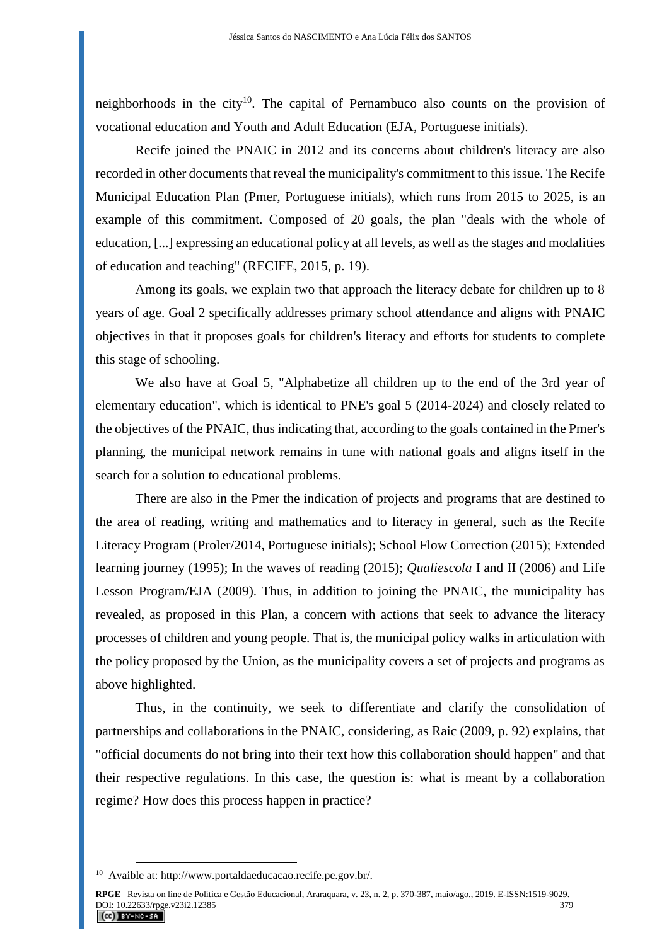neighborhoods in the city<sup>10</sup>. The capital of Pernambuco also counts on the provision of vocational education and Youth and Adult Education (EJA, Portuguese initials).

Recife joined the PNAIC in 2012 and its concerns about children's literacy are also recorded in other documents that reveal the municipality's commitment to this issue. The Recife Municipal Education Plan (Pmer, Portuguese initials), which runs from 2015 to 2025, is an example of this commitment. Composed of 20 goals, the plan "deals with the whole of education, [...] expressing an educational policy at all levels, as well as the stages and modalities of education and teaching" (RECIFE, 2015, p. 19).

Among its goals, we explain two that approach the literacy debate for children up to 8 years of age. Goal 2 specifically addresses primary school attendance and aligns with PNAIC objectives in that it proposes goals for children's literacy and efforts for students to complete this stage of schooling.

We also have at Goal 5, "Alphabetize all children up to the end of the 3rd year of elementary education", which is identical to PNE's goal 5 (2014-2024) and closely related to the objectives of the PNAIC, thus indicating that, according to the goals contained in the Pmer's planning, the municipal network remains in tune with national goals and aligns itself in the search for a solution to educational problems.

There are also in the Pmer the indication of projects and programs that are destined to the area of reading, writing and mathematics and to literacy in general, such as the Recife Literacy Program (Proler/2014, Portuguese initials); School Flow Correction (2015); Extended learning journey (1995); In the waves of reading (2015); *Qualiescola* I and II (2006) and Life Lesson Program/EJA (2009). Thus, in addition to joining the PNAIC, the municipality has revealed, as proposed in this Plan, a concern with actions that seek to advance the literacy processes of children and young people. That is, the municipal policy walks in articulation with the policy proposed by the Union, as the municipality covers a set of projects and programs as above highlighted.

Thus, in the continuity, we seek to differentiate and clarify the consolidation of partnerships and collaborations in the PNAIC, considering, as Raic (2009, p. 92) explains, that "official documents do not bring into their text how this collaboration should happen" and that their respective regulations. In this case, the question is: what is meant by a collaboration regime? How does this process happen in practice?

<sup>10</sup> Avaible at: http://www.portaldaeducacao.recife.pe.gov.br/.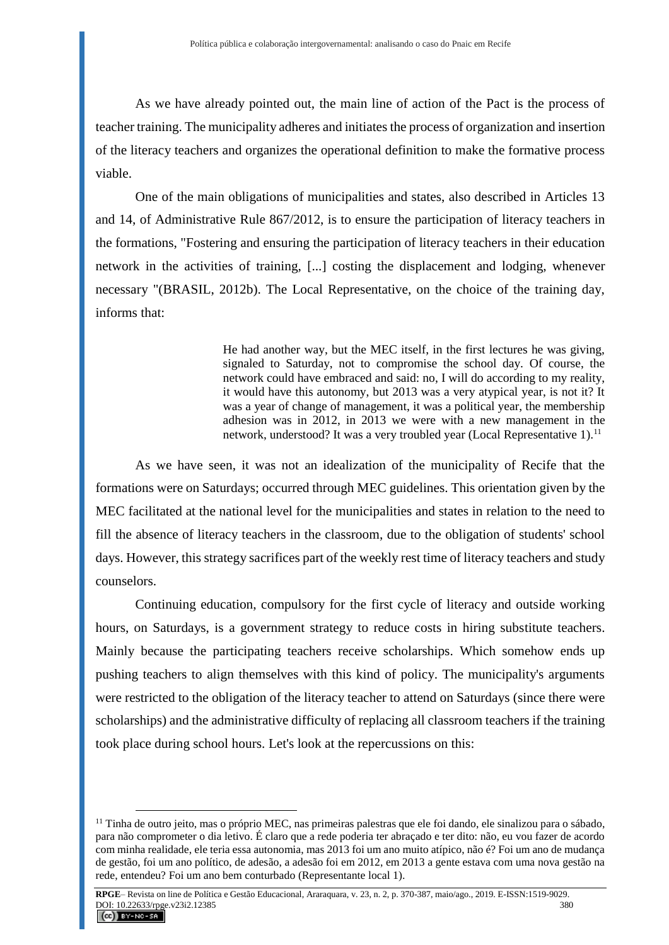As we have already pointed out, the main line of action of the Pact is the process of teacher training. The municipality adheres and initiates the process of organization and insertion of the literacy teachers and organizes the operational definition to make the formative process viable.

One of the main obligations of municipalities and states, also described in Articles 13 and 14, of Administrative Rule 867/2012, is to ensure the participation of literacy teachers in the formations, "Fostering and ensuring the participation of literacy teachers in their education network in the activities of training, [...] costing the displacement and lodging, whenever necessary "(BRASIL, 2012b). The Local Representative, on the choice of the training day, informs that:

> He had another way, but the MEC itself, in the first lectures he was giving, signaled to Saturday, not to compromise the school day. Of course, the network could have embraced and said: no, I will do according to my reality, it would have this autonomy, but 2013 was a very atypical year, is not it? It was a year of change of management, it was a political year, the membership adhesion was in 2012, in 2013 we were with a new management in the network, understood? It was a very troubled year (Local Representative 1).<sup>11</sup>

As we have seen, it was not an idealization of the municipality of Recife that the formations were on Saturdays; occurred through MEC guidelines. This orientation given by the MEC facilitated at the national level for the municipalities and states in relation to the need to fill the absence of literacy teachers in the classroom, due to the obligation of students' school days. However, this strategy sacrifices part of the weekly rest time of literacy teachers and study counselors.

Continuing education, compulsory for the first cycle of literacy and outside working hours, on Saturdays, is a government strategy to reduce costs in hiring substitute teachers. Mainly because the participating teachers receive scholarships. Which somehow ends up pushing teachers to align themselves with this kind of policy. The municipality's arguments were restricted to the obligation of the literacy teacher to attend on Saturdays (since there were scholarships) and the administrative difficulty of replacing all classroom teachers if the training took place during school hours. Let's look at the repercussions on this:

 $11$  Tinha de outro jeito, mas o próprio MEC, nas primeiras palestras que ele foi dando, ele sinalizou para o sábado, para não comprometer o dia letivo. É claro que a rede poderia ter abraçado e ter dito: não, eu vou fazer de acordo com minha realidade, ele teria essa autonomia, mas 2013 foi um ano muito atípico, não é? Foi um ano de mudança de gestão, foi um ano político, de adesão, a adesão foi em 2012, em 2013 a gente estava com uma nova gestão na rede, entendeu? Foi um ano bem conturbado (Representante local 1).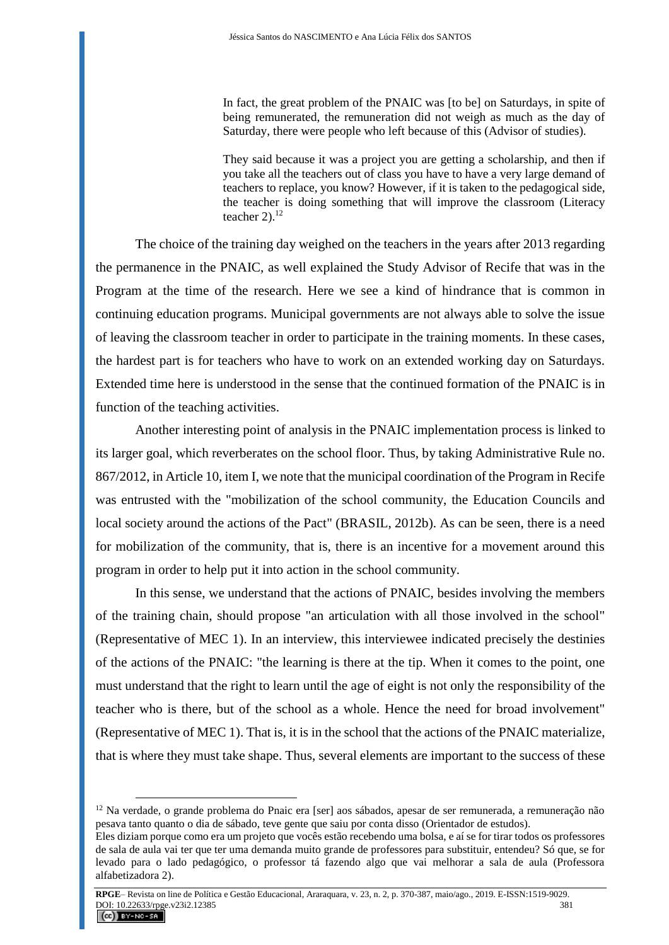In fact, the great problem of the PNAIC was [to be] on Saturdays, in spite of being remunerated, the remuneration did not weigh as much as the day of Saturday, there were people who left because of this (Advisor of studies).

They said because it was a project you are getting a scholarship, and then if you take all the teachers out of class you have to have a very large demand of teachers to replace, you know? However, if it is taken to the pedagogical side, the teacher is doing something that will improve the classroom (Literacy teacher  $2$ ).<sup>12</sup>

The choice of the training day weighed on the teachers in the years after 2013 regarding the permanence in the PNAIC, as well explained the Study Advisor of Recife that was in the Program at the time of the research. Here we see a kind of hindrance that is common in continuing education programs. Municipal governments are not always able to solve the issue of leaving the classroom teacher in order to participate in the training moments. In these cases, the hardest part is for teachers who have to work on an extended working day on Saturdays. Extended time here is understood in the sense that the continued formation of the PNAIC is in function of the teaching activities.

Another interesting point of analysis in the PNAIC implementation process is linked to its larger goal, which reverberates on the school floor. Thus, by taking Administrative Rule no. 867/2012, in Article 10, item I, we note that the municipal coordination of the Program in Recife was entrusted with the "mobilization of the school community, the Education Councils and local society around the actions of the Pact" (BRASIL, 2012b). As can be seen, there is a need for mobilization of the community, that is, there is an incentive for a movement around this program in order to help put it into action in the school community.

In this sense, we understand that the actions of PNAIC, besides involving the members of the training chain, should propose "an articulation with all those involved in the school" (Representative of MEC 1). In an interview, this interviewee indicated precisely the destinies of the actions of the PNAIC: "the learning is there at the tip. When it comes to the point, one must understand that the right to learn until the age of eight is not only the responsibility of the teacher who is there, but of the school as a whole. Hence the need for broad involvement" (Representative of MEC 1). That is, it is in the school that the actions of the PNAIC materialize, that is where they must take shape. Thus, several elements are important to the success of these

<sup>&</sup>lt;sup>12</sup> Na verdade, o grande problema do Pnaic era [ser] aos sábados, apesar de ser remunerada, a remuneração não pesava tanto quanto o dia de sábado, teve gente que saiu por conta disso (Orientador de estudos).

Eles diziam porque como era um projeto que vocês estão recebendo uma bolsa, e aí se for tirar todos os professores de sala de aula vai ter que ter uma demanda muito grande de professores para substituir, entendeu? Só que, se for levado para o lado pedagógico, o professor tá fazendo algo que vai melhorar a sala de aula (Professora alfabetizadora 2).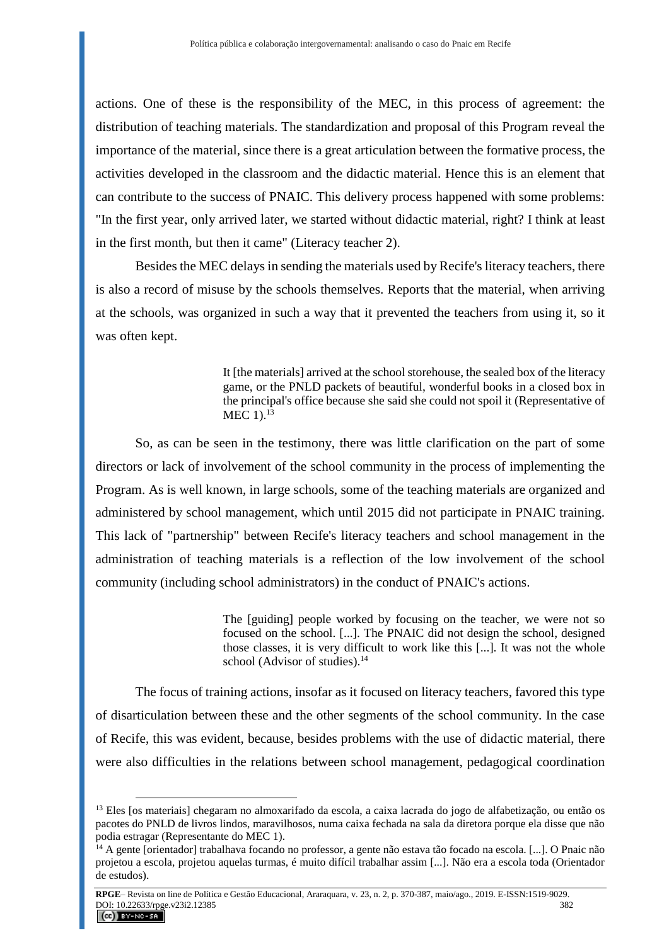actions. One of these is the responsibility of the MEC, in this process of agreement: the distribution of teaching materials. The standardization and proposal of this Program reveal the importance of the material, since there is a great articulation between the formative process, the activities developed in the classroom and the didactic material. Hence this is an element that can contribute to the success of PNAIC. This delivery process happened with some problems: "In the first year, only arrived later, we started without didactic material, right? I think at least in the first month, but then it came" (Literacy teacher 2).

Besides the MEC delays in sending the materials used by Recife's literacy teachers, there is also a record of misuse by the schools themselves. Reports that the material, when arriving at the schools, was organized in such a way that it prevented the teachers from using it, so it was often kept.

> It [the materials] arrived at the school storehouse, the sealed box of the literacy game, or the PNLD packets of beautiful, wonderful books in a closed box in the principal's office because she said she could not spoil it (Representative of  $MEC$  1).<sup>13</sup>

So, as can be seen in the testimony, there was little clarification on the part of some directors or lack of involvement of the school community in the process of implementing the Program. As is well known, in large schools, some of the teaching materials are organized and administered by school management, which until 2015 did not participate in PNAIC training. This lack of "partnership" between Recife's literacy teachers and school management in the administration of teaching materials is a reflection of the low involvement of the school community (including school administrators) in the conduct of PNAIC's actions.

> The [guiding] people worked by focusing on the teacher, we were not so focused on the school. [...]. The PNAIC did not design the school, designed those classes, it is very difficult to work like this [...]. It was not the whole school (Advisor of studies). $^{14}$

The focus of training actions, insofar as it focused on literacy teachers, favored this type of disarticulation between these and the other segments of the school community. In the case of Recife, this was evident, because, besides problems with the use of didactic material, there were also difficulties in the relations between school management, pedagogical coordination

<sup>&</sup>lt;sup>13</sup> Eles [os materiais] chegaram no almoxarifado da escola, a caixa lacrada do jogo de alfabetização, ou então os pacotes do PNLD de livros lindos, maravilhosos, numa caixa fechada na sala da diretora porque ela disse que não podia estragar (Representante do MEC 1).

<sup>&</sup>lt;sup>14</sup> A gente [orientador] trabalhava focando no professor, a gente não estava tão focado na escola. [...]. O Pnaic não projetou a escola, projetou aquelas turmas, é muito difícil trabalhar assim [...]. Não era a escola toda (Orientador de estudos).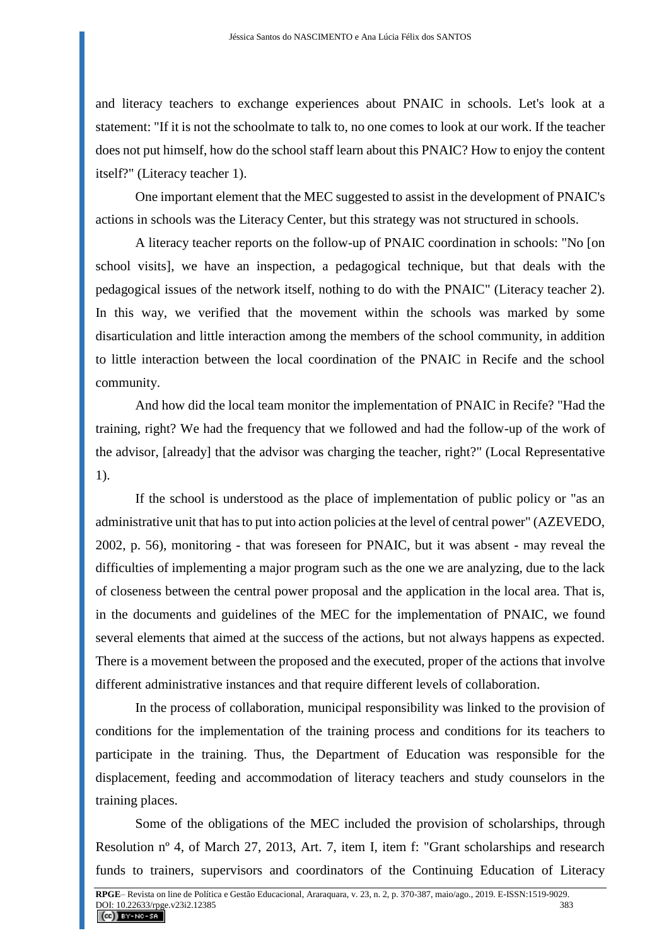and literacy teachers to exchange experiences about PNAIC in schools. Let's look at a statement: "If it is not the schoolmate to talk to, no one comes to look at our work. If the teacher does not put himself, how do the school staff learn about this PNAIC? How to enjoy the content itself?" (Literacy teacher 1).

One important element that the MEC suggested to assist in the development of PNAIC's actions in schools was the Literacy Center, but this strategy was not structured in schools.

A literacy teacher reports on the follow-up of PNAIC coordination in schools: "No [on school visits], we have an inspection, a pedagogical technique, but that deals with the pedagogical issues of the network itself, nothing to do with the PNAIC" (Literacy teacher 2). In this way, we verified that the movement within the schools was marked by some disarticulation and little interaction among the members of the school community, in addition to little interaction between the local coordination of the PNAIC in Recife and the school community.

And how did the local team monitor the implementation of PNAIC in Recife? "Had the training, right? We had the frequency that we followed and had the follow-up of the work of the advisor, [already] that the advisor was charging the teacher, right?" (Local Representative 1).

If the school is understood as the place of implementation of public policy or "as an administrative unit that has to put into action policies at the level of central power" (AZEVEDO, 2002, p. 56), monitoring - that was foreseen for PNAIC, but it was absent - may reveal the difficulties of implementing a major program such as the one we are analyzing, due to the lack of closeness between the central power proposal and the application in the local area. That is, in the documents and guidelines of the MEC for the implementation of PNAIC, we found several elements that aimed at the success of the actions, but not always happens as expected. There is a movement between the proposed and the executed, proper of the actions that involve different administrative instances and that require different levels of collaboration.

In the process of collaboration, municipal responsibility was linked to the provision of conditions for the implementation of the training process and conditions for its teachers to participate in the training. Thus, the Department of Education was responsible for the displacement, feeding and accommodation of literacy teachers and study counselors in the training places.

Some of the obligations of the MEC included the provision of scholarships, through Resolution nº 4, of March 27, 2013, Art. 7, item I, item f: "Grant scholarships and research funds to trainers, supervisors and coordinators of the Continuing Education of Literacy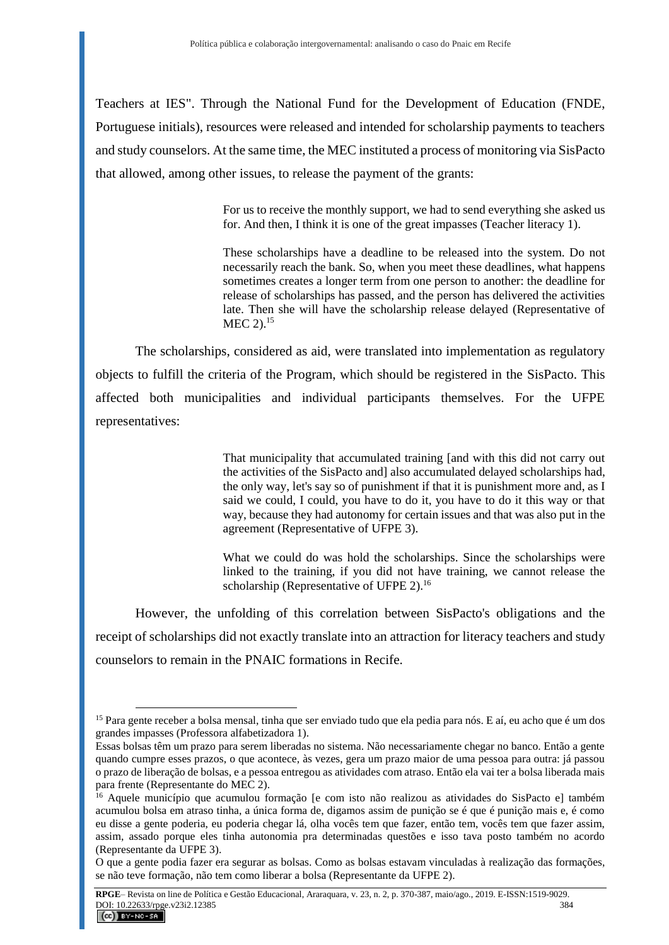Teachers at IES". Through the National Fund for the Development of Education (FNDE, Portuguese initials), resources were released and intended for scholarship payments to teachers and study counselors. At the same time, the MEC instituted a process of monitoring via SisPacto that allowed, among other issues, to release the payment of the grants:

> For us to receive the monthly support, we had to send everything she asked us for. And then, I think it is one of the great impasses (Teacher literacy 1).

> These scholarships have a deadline to be released into the system. Do not necessarily reach the bank. So, when you meet these deadlines, what happens sometimes creates a longer term from one person to another: the deadline for release of scholarships has passed, and the person has delivered the activities late. Then she will have the scholarship release delayed (Representative of  $MEC$  2).<sup>15</sup>

The scholarships, considered as aid, were translated into implementation as regulatory objects to fulfill the criteria of the Program, which should be registered in the SisPacto. This affected both municipalities and individual participants themselves. For the UFPE representatives:

> That municipality that accumulated training [and with this did not carry out the activities of the SisPacto and] also accumulated delayed scholarships had, the only way, let's say so of punishment if that it is punishment more and, as I said we could, I could, you have to do it, you have to do it this way or that way, because they had autonomy for certain issues and that was also put in the agreement (Representative of UFPE 3).

> What we could do was hold the scholarships. Since the scholarships were linked to the training, if you did not have training, we cannot release the scholarship (Representative of UFPE 2).<sup>16</sup>

However, the unfolding of this correlation between SisPacto's obligations and the receipt of scholarships did not exactly translate into an attraction for literacy teachers and study counselors to remain in the PNAIC formations in Recife.

<sup>&</sup>lt;sup>15</sup> Para gente receber a bolsa mensal, tinha que ser enviado tudo que ela pedia para nós. E aí, eu acho que é um dos grandes impasses (Professora alfabetizadora 1).

Essas bolsas têm um prazo para serem liberadas no sistema. Não necessariamente chegar no banco. Então a gente quando cumpre esses prazos, o que acontece, às vezes, gera um prazo maior de uma pessoa para outra: já passou o prazo de liberação de bolsas, e a pessoa entregou as atividades com atraso. Então ela vai ter a bolsa liberada mais para frente (Representante do MEC 2).

<sup>&</sup>lt;sup>16</sup> Aquele município que acumulou formação [e com isto não realizou as atividades do SisPacto e] também acumulou bolsa em atraso tinha, a única forma de, digamos assim de punição se é que é punição mais e, é como eu disse a gente poderia, eu poderia chegar lá, olha vocês tem que fazer, então tem, vocês tem que fazer assim, assim, assado porque eles tinha autonomia pra determinadas questões e isso tava posto também no acordo (Representante da UFPE 3).

O que a gente podia fazer era segurar as bolsas. Como as bolsas estavam vinculadas à realização das formações, se não teve formação, não tem como liberar a bolsa (Representante da UFPE 2).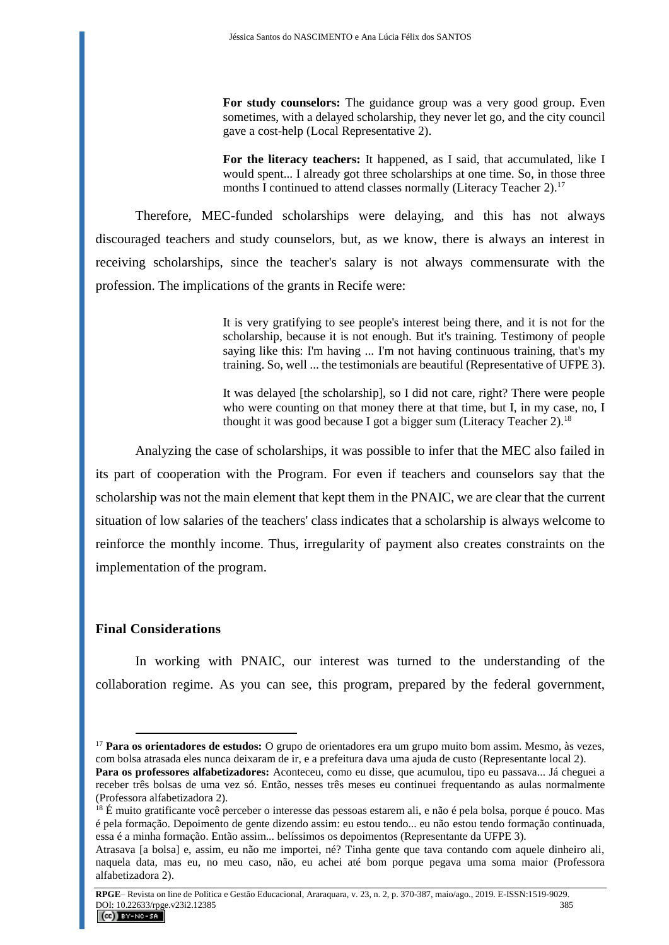For study counselors: The guidance group was a very good group. Even sometimes, with a delayed scholarship, they never let go, and the city council gave a cost-help (Local Representative 2).

**For the literacy teachers:** It happened, as I said, that accumulated, like I would spent... I already got three scholarships at one time. So, in those three months I continued to attend classes normally (Literacy Teacher 2).<sup>17</sup>

Therefore, MEC-funded scholarships were delaying, and this has not always discouraged teachers and study counselors, but, as we know, there is always an interest in receiving scholarships, since the teacher's salary is not always commensurate with the profession. The implications of the grants in Recife were:

> It is very gratifying to see people's interest being there, and it is not for the scholarship, because it is not enough. But it's training. Testimony of people saying like this: I'm having ... I'm not having continuous training, that's my training. So, well ... the testimonials are beautiful (Representative of UFPE 3).

> It was delayed [the scholarship], so I did not care, right? There were people who were counting on that money there at that time, but I, in my case, no, I thought it was good because I got a bigger sum (Literacy Teacher 2).<sup>18</sup>

Analyzing the case of scholarships, it was possible to infer that the MEC also failed in its part of cooperation with the Program. For even if teachers and counselors say that the scholarship was not the main element that kept them in the PNAIC, we are clear that the current situation of low salaries of the teachers' class indicates that a scholarship is always welcome to reinforce the monthly income. Thus, irregularity of payment also creates constraints on the implementation of the program.

### **Final Considerations**

 $\overline{a}$ 

In working with PNAIC, our interest was turned to the understanding of the collaboration regime. As you can see, this program, prepared by the federal government,

<sup>17</sup> **Para os orientadores de estudos:** O grupo de orientadores era um grupo muito bom assim. Mesmo, às vezes, com bolsa atrasada eles nunca deixaram de ir, e a prefeitura dava uma ajuda de custo (Representante local 2).

**Para os professores alfabetizadores:** Aconteceu, como eu disse, que acumulou, tipo eu passava... Já cheguei a receber três bolsas de uma vez só. Então, nesses três meses eu continuei frequentando as aulas normalmente (Professora alfabetizadora 2).

<sup>&</sup>lt;sup>18</sup> É muito gratificante você perceber o interesse das pessoas estarem ali, e não é pela bolsa, porque é pouco. Mas é pela formação. Depoimento de gente dizendo assim: eu estou tendo... eu não estou tendo formação continuada, essa é a minha formação. Então assim... belíssimos os depoimentos (Representante da UFPE 3).

Atrasava [a bolsa] e, assim, eu não me importei, né? Tinha gente que tava contando com aquele dinheiro ali, naquela data, mas eu, no meu caso, não, eu achei até bom porque pegava uma soma maior (Professora alfabetizadora 2).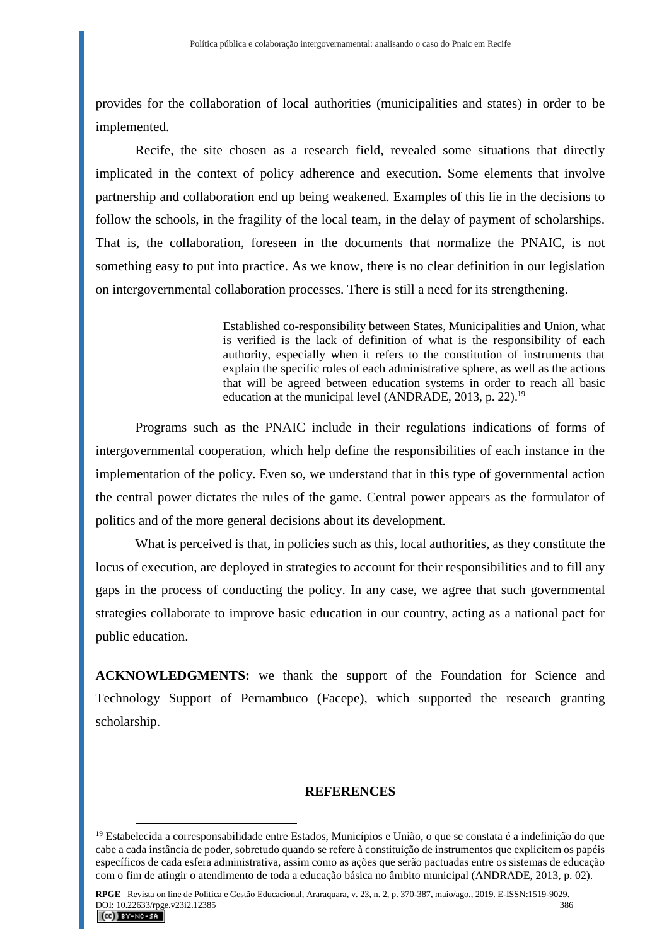provides for the collaboration of local authorities (municipalities and states) in order to be implemented.

Recife, the site chosen as a research field, revealed some situations that directly implicated in the context of policy adherence and execution. Some elements that involve partnership and collaboration end up being weakened. Examples of this lie in the decisions to follow the schools, in the fragility of the local team, in the delay of payment of scholarships. That is, the collaboration, foreseen in the documents that normalize the PNAIC, is not something easy to put into practice. As we know, there is no clear definition in our legislation on intergovernmental collaboration processes. There is still a need for its strengthening.

> Established co-responsibility between States, Municipalities and Union, what is verified is the lack of definition of what is the responsibility of each authority, especially when it refers to the constitution of instruments that explain the specific roles of each administrative sphere, as well as the actions that will be agreed between education systems in order to reach all basic education at the municipal level (ANDRADE, 2013, p. 22).<sup>19</sup>

Programs such as the PNAIC include in their regulations indications of forms of intergovernmental cooperation, which help define the responsibilities of each instance in the implementation of the policy. Even so, we understand that in this type of governmental action the central power dictates the rules of the game. Central power appears as the formulator of politics and of the more general decisions about its development.

What is perceived is that, in policies such as this, local authorities, as they constitute the locus of execution, are deployed in strategies to account for their responsibilities and to fill any gaps in the process of conducting the policy. In any case, we agree that such governmental strategies collaborate to improve basic education in our country, acting as a national pact for public education.

**ACKNOWLEDGMENTS:** we thank the support of the Foundation for Science and Technology Support of Pernambuco (Facepe), which supported the research granting scholarship.

#### **REFERENCES**

<sup>&</sup>lt;sup>19</sup> Estabelecida a corresponsabilidade entre Estados, Municípios e União, o que se constata é a indefinição do que cabe a cada instância de poder, sobretudo quando se refere à constituição de instrumentos que explicitem os papéis específicos de cada esfera administrativa, assim como as ações que serão pactuadas entre os sistemas de educação com o fim de atingir o atendimento de toda a educação básica no âmbito municipal (ANDRADE, 2013, p. 02).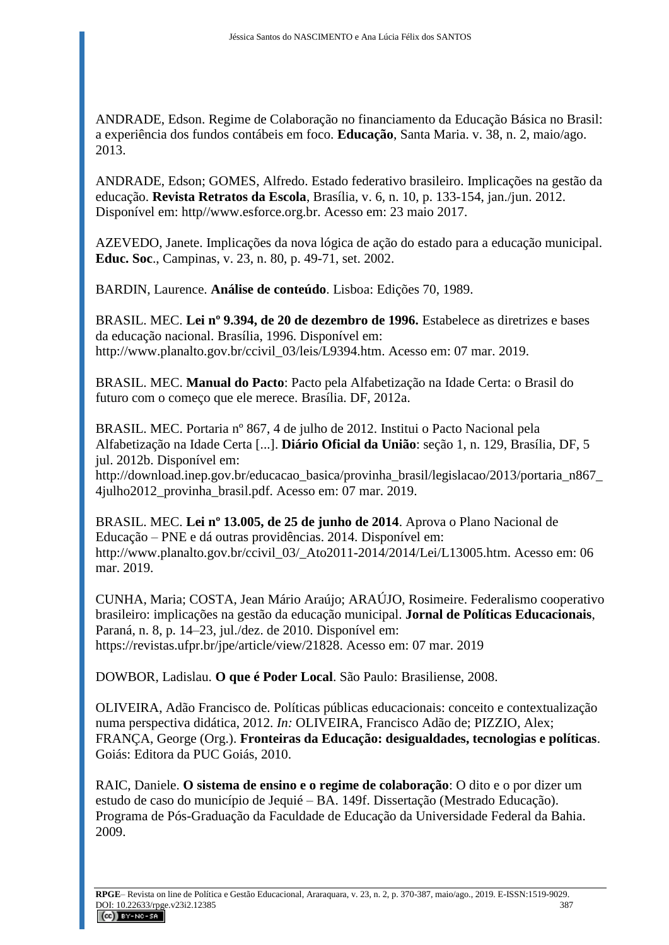ANDRADE, Edson. Regime de Colaboração no financiamento da Educação Básica no Brasil: a experiência dos fundos contábeis em foco. **Educação**, Santa Maria. v. 38, n. 2, maio/ago. 2013.

ANDRADE, Edson; GOMES, Alfredo. Estado federativo brasileiro. Implicações na gestão da educação. **Revista Retratos da Escola**, Brasília, v. 6, n. 10, p. 133-154, jan./jun. 2012. Disponível em: http//www.esforce.org.br. Acesso em: 23 maio 2017.

AZEVEDO, Janete. Implicações da nova lógica de ação do estado para a educação municipal. **Educ. Soc**., Campinas, v. 23, n. 80, p. 49-71, set. 2002.

BARDIN, Laurence. **Análise de conteúdo**. Lisboa: Edições 70, 1989.

BRASIL. MEC. **Lei nº 9.394, de 20 de dezembro de 1996.** Estabelece as diretrizes e bases da educação nacional. Brasília, 1996. Disponível em: http://www.planalto.gov.br/ccivil\_03/leis/L9394.htm. Acesso em: 07 mar. 2019.

BRASIL. MEC. **Manual do Pacto**: Pacto pela Alfabetização na Idade Certa: o Brasil do futuro com o começo que ele merece. Brasília. DF, 2012a.

BRASIL. MEC. Portaria nº 867, 4 de julho de 2012. Institui o Pacto Nacional pela Alfabetização na Idade Certa [...]. **Diário Oficial da União**: seção 1, n. 129, Brasília, DF, 5 jul. 2012b. Disponível em:

http://download.inep.gov.br/educacao\_basica/provinha\_brasil/legislacao/2013/portaria\_n867 4julho2012\_provinha\_brasil.pdf. Acesso em: 07 mar. 2019.

BRASIL. MEC. **Lei nº 13.005, de 25 de junho de 2014**. Aprova o Plano Nacional de Educação – PNE e dá outras providências. 2014. Disponível em: http://www.planalto.gov.br/ccivil\_03/\_Ato2011-2014/2014/Lei/L13005.htm. Acesso em: 06 mar. 2019.

CUNHA, Maria; COSTA, Jean Mário Araújo; ARAÚJO, Rosimeire. Federalismo cooperativo brasileiro: implicações na gestão da educação municipal. **Jornal de Políticas Educacionais**, Paraná, n. 8, p. 14–23, jul./dez. de 2010. Disponível em: https://revistas.ufpr.br/jpe/article/view/21828. Acesso em: 07 mar. 2019

DOWBOR, Ladislau. **O que é Poder Local**. São Paulo: Brasiliense, 2008.

OLIVEIRA, Adão Francisco de. Políticas públicas educacionais: conceito e contextualização numa perspectiva didática, 2012. *In:* OLIVEIRA, Francisco Adão de; PIZZIO, Alex; FRANÇA, George (Org.). **Fronteiras da Educação: desigualdades, tecnologias e políticas**. Goiás: Editora da PUC Goiás, 2010.

RAIC, Daniele. **O sistema de ensino e o regime de colaboração**: O dito e o por dizer um estudo de caso do município de Jequié – BA. 149f. Dissertação (Mestrado Educação). Programa de Pós-Graduação da Faculdade de Educação da Universidade Federal da Bahia. 2009.